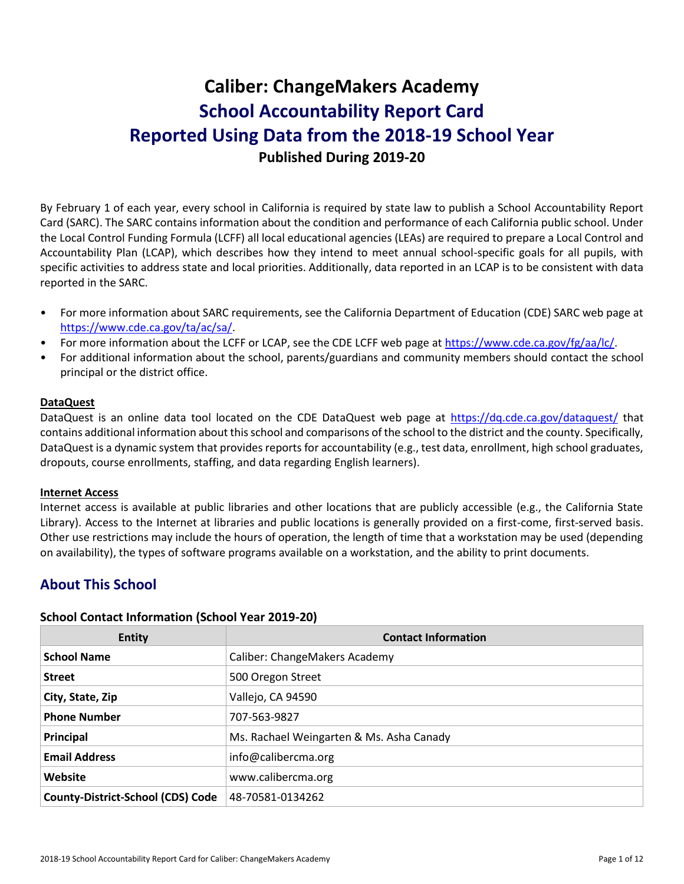# **Caliber: ChangeMakers Academy School Accountability Report Card Reported Using Data from the 2018-19 School Year Published During 2019-20**

By February 1 of each year, every school in California is required by state law to publish a School Accountability Report Card (SARC). The SARC contains information about the condition and performance of each California public school. Under the Local Control Funding Formula (LCFF) all local educational agencies (LEAs) are required to prepare a Local Control and Accountability Plan (LCAP), which describes how they intend to meet annual school-specific goals for all pupils, with specific activities to address state and local priorities. Additionally, data reported in an LCAP is to be consistent with data reported in the SARC.

- For more information about SARC requirements, see the California Department of Education (CDE) SARC web page at [https://www.cde.ca.gov/ta/ac/sa/.](https://www.cde.ca.gov/ta/ac/sa/)
- For more information about the LCFF or LCAP, see the CDE LCFF web page at [https://www.cde.ca.gov/fg/aa/lc/.](https://www.cde.ca.gov/fg/aa/lc/)
- For additional information about the school, parents/guardians and community members should contact the school principal or the district office.

#### **DataQuest**

DataQuest is an online data tool located on the CDE DataQuest web page at<https://dq.cde.ca.gov/dataquest/> that contains additional information about this school and comparisons of the school to the district and the county. Specifically, DataQuest is a dynamic system that provides reports for accountability (e.g., test data, enrollment, high school graduates, dropouts, course enrollments, staffing, and data regarding English learners).

#### **Internet Access**

Internet access is available at public libraries and other locations that are publicly accessible (e.g., the California State Library). Access to the Internet at libraries and public locations is generally provided on a first-come, first-served basis. Other use restrictions may include the hours of operation, the length of time that a workstation may be used (depending on availability), the types of software programs available on a workstation, and the ability to print documents.

# **About This School**

#### **School Contact Information (School Year 2019-20)**

| <b>Entity</b>                            | <b>Contact Information</b>               |
|------------------------------------------|------------------------------------------|
| <b>School Name</b>                       | Caliber: ChangeMakers Academy            |
| <b>Street</b>                            | 500 Oregon Street                        |
| City, State, Zip                         | Vallejo, CA 94590                        |
| <b>Phone Number</b>                      | 707-563-9827                             |
| Principal                                | Ms. Rachael Weingarten & Ms. Asha Canady |
| <b>Email Address</b>                     | info@calibercma.org                      |
| Website                                  | www.calibercma.org                       |
| <b>County-District-School (CDS) Code</b> | 48-70581-0134262                         |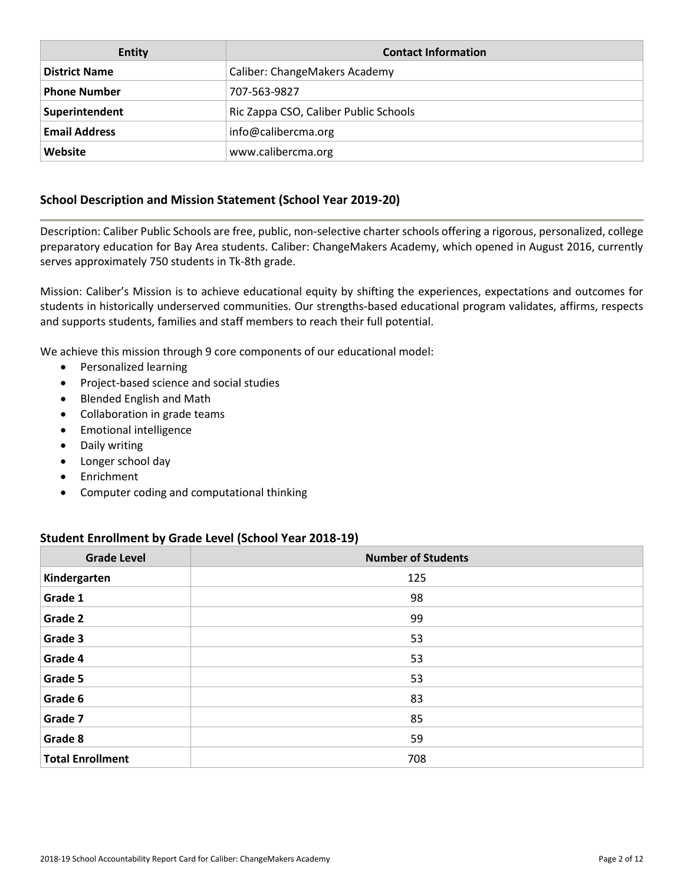| <b>Entity</b>        | <b>Contact Information</b>            |
|----------------------|---------------------------------------|
| <b>District Name</b> | Caliber: ChangeMakers Academy         |
| <b>Phone Number</b>  | 707-563-9827                          |
| Superintendent       | Ric Zappa CSO, Caliber Public Schools |
| <b>Email Address</b> | info@calibercma.org                   |
| Website              | www.calibercma.org                    |

### **School Description and Mission Statement (School Year 2019-20)**

Description: Caliber Public Schools are free, public, non-selective charter schools offering a rigorous, personalized, college preparatory education for Bay Area students. Caliber: ChangeMakers Academy, which opened in August 2016, currently serves approximately 750 students in Tk-8th grade.

Mission: Caliber's Mission is to achieve educational equity by shifting the experiences, expectations and outcomes for students in historically underserved communities. Our strengths-based educational program validates, affirms, respects and supports students, families and staff members to reach their full potential.

We achieve this mission through 9 core components of our educational model:

- Personalized learning
- Project-based science and social studies
- Blended English and Math
- Collaboration in grade teams
- Emotional intelligence
- Daily writing
- Longer school day
- Enrichment
- Computer coding and computational thinking

#### **Student Enrollment by Grade Level (School Year 2018-19)**

| <b>Grade Level</b>      | <b>Number of Students</b> |
|-------------------------|---------------------------|
| Kindergarten            | 125                       |
| Grade 1                 | 98                        |
| Grade 2                 | 99                        |
| Grade 3                 | 53                        |
| Grade 4                 | 53                        |
| Grade 5                 | 53                        |
| Grade 6                 | 83                        |
| Grade 7                 | 85                        |
| Grade 8                 | 59                        |
| <b>Total Enrollment</b> | 708                       |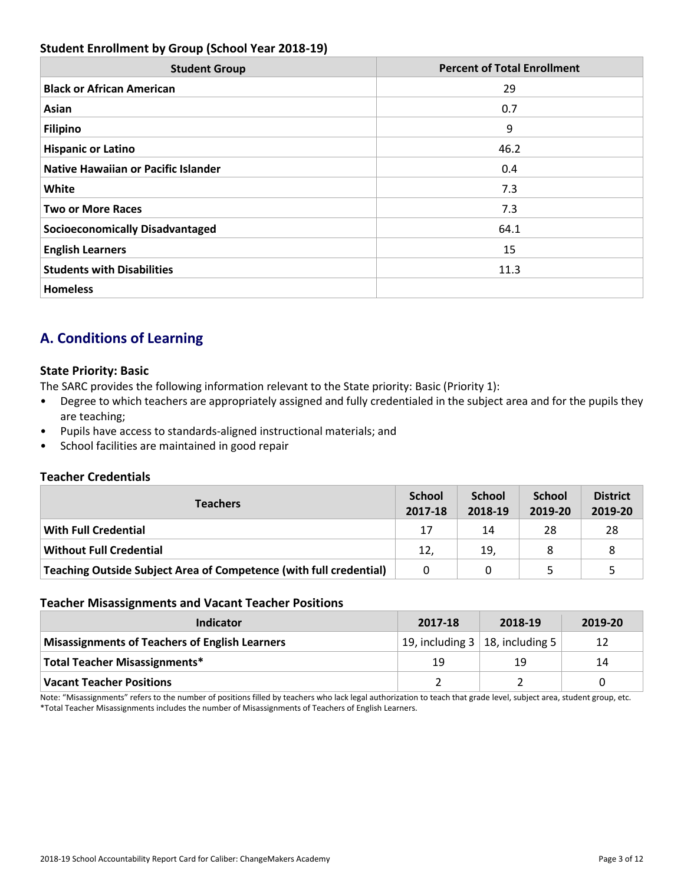### **Student Enrollment by Group (School Year 2018-19)**

| <b>Student Group</b>                       | <b>Percent of Total Enrollment</b> |
|--------------------------------------------|------------------------------------|
| <b>Black or African American</b>           | 29                                 |
| Asian                                      | 0.7                                |
| <b>Filipino</b>                            | 9                                  |
| <b>Hispanic or Latino</b>                  | 46.2                               |
| <b>Native Hawaiian or Pacific Islander</b> | 0.4                                |
| White                                      | 7.3                                |
| <b>Two or More Races</b>                   | 7.3                                |
| <b>Socioeconomically Disadvantaged</b>     | 64.1                               |
| <b>English Learners</b>                    | 15                                 |
| <b>Students with Disabilities</b>          | 11.3                               |
| <b>Homeless</b>                            |                                    |

# **A. Conditions of Learning**

### **State Priority: Basic**

The SARC provides the following information relevant to the State priority: Basic (Priority 1):

- Degree to which teachers are appropriately assigned and fully credentialed in the subject area and for the pupils they are teaching;
- Pupils have access to standards-aligned instructional materials; and
- School facilities are maintained in good repair

#### **Teacher Credentials**

| <b>Teachers</b>                                                    |     | <b>School</b><br>2018-19 | <b>School</b><br>2019-20 | <b>District</b><br>2019-20 |
|--------------------------------------------------------------------|-----|--------------------------|--------------------------|----------------------------|
| <b>With Full Credential</b>                                        | 17  | 14                       | 28                       | 28                         |
| <b>Without Full Credential</b>                                     | 12, | 19,                      | 8                        |                            |
| Teaching Outside Subject Area of Competence (with full credential) |     | 0                        |                          |                            |
|                                                                    |     |                          |                          |                            |

#### **Teacher Misassignments and Vacant Teacher Positions**

| <b>TCacher Milbabbighthems and Vacant TCacher I Obitions</b> |         |                                         |         |  |  |  |
|--------------------------------------------------------------|---------|-----------------------------------------|---------|--|--|--|
| <b>Indicator</b>                                             | 2017-18 | 2018-19                                 | 2019-20 |  |  |  |
| <b>Misassignments of Teachers of English Learners</b>        |         | 19, including $3 \mid 18$ , including 5 | 12      |  |  |  |
| Total Teacher Misassignments*                                | 19      | 19                                      | 14      |  |  |  |
| <b>Vacant Teacher Positions</b>                              |         |                                         |         |  |  |  |

tion to teach that gr<br>lers Note: "Misassignments" refers to the number of positions filled by teachers who lack legal authorization to teach that grade level, subject area, student group, etc.<br>\*Total Teacher Misassignments includes the number of Mis \*Total Teacher Misassignments includes the number of Misassignments of Teachers of English Learners.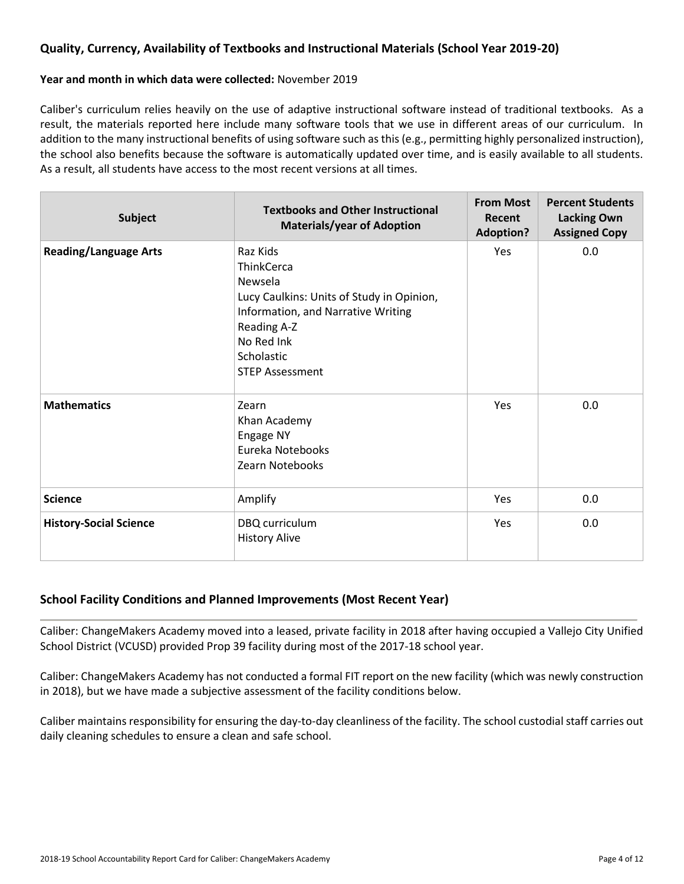### **Quality, Currency, Availability of Textbooks and Instructional Materials (School Year 2019-20)**

#### **Year and month in which data were collected:** November 2019

Caliber's curriculum relies heavily on the use of adaptive instructional software instead of traditional textbooks. As a result, the materials reported here include many software tools that we use in different areas of our curriculum. In addition to the many instructional benefits of using software such as this (e.g., permitting highly personalized instruction), the school also benefits because the software is automatically updated over time, and is easily available to all students. As a result, all students have access to the most recent versions at all times.

| <b>Subject</b>                | <b>From Most</b><br><b>Textbooks and Other Instructional</b><br>Recent<br><b>Materials/year of Adoption</b><br><b>Adoption?</b>                                                                  |     | <b>Percent Students</b><br><b>Lacking Own</b><br><b>Assigned Copy</b> |  |
|-------------------------------|--------------------------------------------------------------------------------------------------------------------------------------------------------------------------------------------------|-----|-----------------------------------------------------------------------|--|
| <b>Reading/Language Arts</b>  | Raz Kids<br><b>ThinkCerca</b><br>Newsela<br>Lucy Caulkins: Units of Study in Opinion,<br>Information, and Narrative Writing<br>Reading A-Z<br>No Red Ink<br>Scholastic<br><b>STEP Assessment</b> | Yes | 0.0                                                                   |  |
| <b>Mathematics</b>            | Zearn<br>Khan Academy<br>Engage NY<br>Eureka Notebooks<br>Zearn Notebooks                                                                                                                        | Yes | 0.0                                                                   |  |
| <b>Science</b>                | Amplify                                                                                                                                                                                          | Yes | 0.0                                                                   |  |
| <b>History-Social Science</b> | DBQ curriculum<br><b>History Alive</b>                                                                                                                                                           | Yes | 0.0                                                                   |  |

### **School Facility Conditions and Planned Improvements (Most Recent Year)**

Caliber: ChangeMakers Academy moved into a leased, private facility in 2018 after having occupied a Vallejo City Unified School District (VCUSD) provided Prop 39 facility during most of the 2017-18 school year.

Caliber: ChangeMakers Academy has not conducted a formal FIT report on the new facility (which was newly construction in 2018), but we have made a subjective assessment of the facility conditions below.

Caliber maintains responsibility for ensuring the day-to-day cleanliness of the facility. The school custodial staff carries out daily cleaning schedules to ensure a clean and safe school.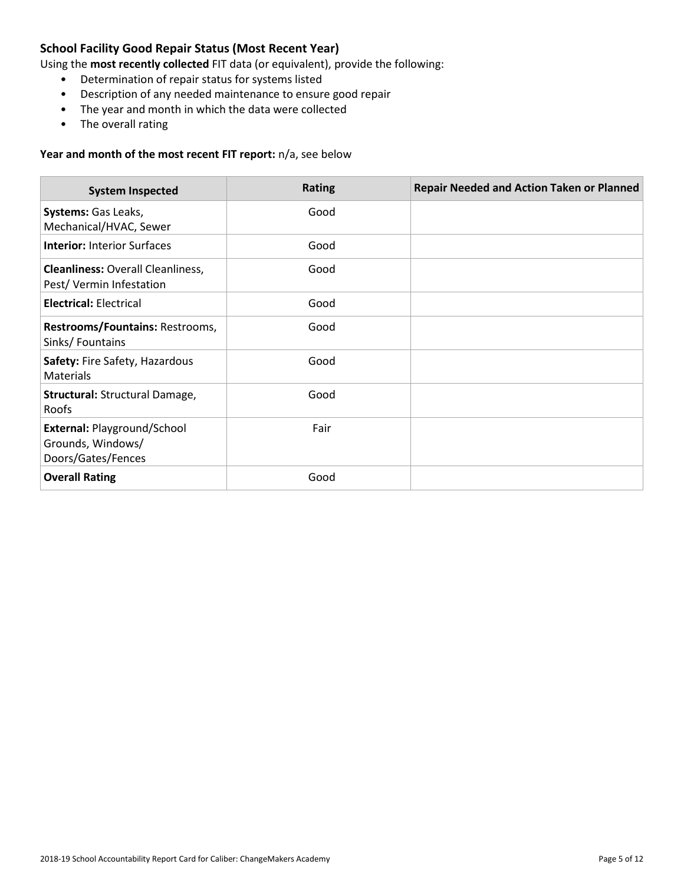### **School Facility Good Repair Status (Most Recent Year)**

Using the **most recently collected** FIT data (or equivalent), provide the following:

- Determination of repair status for systems listed
- Description of any needed maintenance to ensure good repair
- The year and month in which the data were collected
- The overall rating

#### **Year and month of the most recent FIT report:** n/a, see below

| <b>System Inspected</b>                                                       | <b>Rating</b> | <b>Repair Needed and Action Taken or Planned</b> |
|-------------------------------------------------------------------------------|---------------|--------------------------------------------------|
| Systems: Gas Leaks,<br>Mechanical/HVAC, Sewer                                 | Good          |                                                  |
| <b>Interior: Interior Surfaces</b>                                            | Good          |                                                  |
| <b>Cleanliness: Overall Cleanliness,</b><br>Pest/Vermin Infestation           | Good          |                                                  |
| <b>Electrical: Electrical</b>                                                 | Good          |                                                  |
| Restrooms/Fountains: Restrooms,<br>Sinks/Fountains                            | Good          |                                                  |
| Safety: Fire Safety, Hazardous<br>Materials                                   | Good          |                                                  |
| Structural: Structural Damage,<br>Roofs                                       | Good          |                                                  |
| <b>External: Playground/School</b><br>Grounds, Windows/<br>Doors/Gates/Fences | Fair          |                                                  |
| <b>Overall Rating</b>                                                         | Good          |                                                  |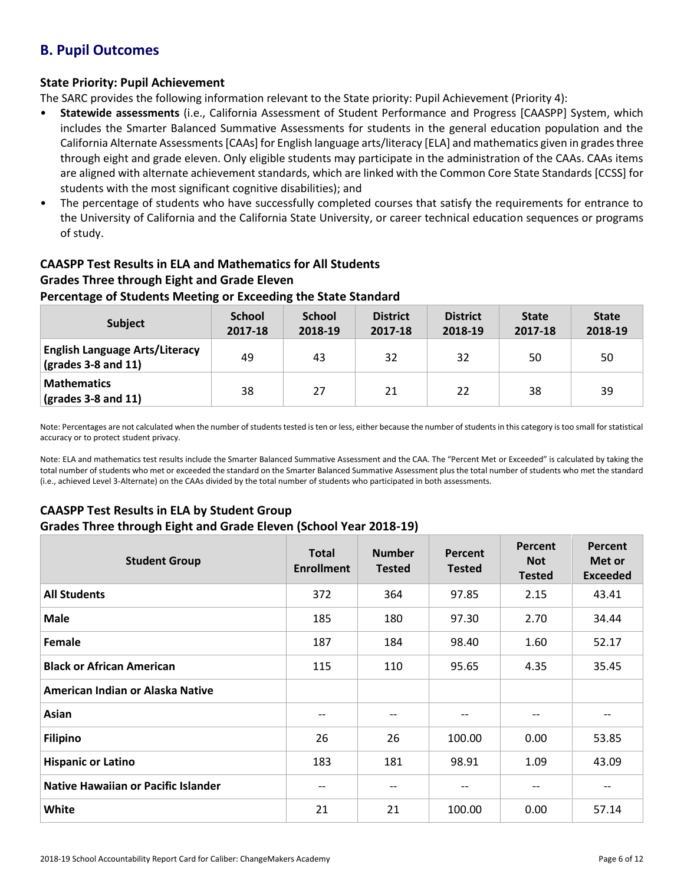# **B. Pupil Outcomes**

### **State Priority: Pupil Achievement**

The SARC provides the following information relevant to the State priority: Pupil Achievement (Priority 4):

- **Statewide assessments** (i.e., California Assessment of Student Performance and Progress [CAASPP] System, which includes the Smarter Balanced Summative Assessments for students in the general education population and the California Alternate Assessments [CAAs] for English language arts/literacy [ELA] and mathematics given in grades three through eight and grade eleven. Only eligible students may participate in the administration of the CAAs. CAAs items are aligned with alternate achievement standards, which are linked with the Common Core State Standards [CCSS] for students with the most significant cognitive disabilities); and
- The percentage of students who have successfully completed courses that satisfy the requirements for entrance to the University of California and the California State University, or career technical education sequences or programs of study.

# **CAASPP Test Results in ELA and Mathematics for All Students Grades Three through Eight and Grade Eleven**

### **Percentage of Students Meeting or Exceeding the State Standard**

| <b>Subject</b>                                                                | <b>School</b><br>2017-18 | <b>School</b><br>2018-19 | <b>District</b><br>2017-18 | <b>District</b><br>2018-19 | <b>State</b><br>2017-18 | <b>State</b><br>2018-19 |
|-------------------------------------------------------------------------------|--------------------------|--------------------------|----------------------------|----------------------------|-------------------------|-------------------------|
| <b>English Language Arts/Literacy</b><br>$\left($ grades 3-8 and 11 $\right)$ | 49                       | 43                       | 32                         | 32                         | 50                      | 50                      |
| <b>Mathematics</b><br>$\vert$ (grades 3-8 and 11)                             | 38                       | 27                       | 21                         | 22                         | 38                      | 39                      |

Note: Percentages are not calculated when the number of students tested is ten or less, either because the number of students in this category is too small for statistical accuracy or to protect student privacy.

Note: ELA and mathematics test results include the Smarter Balanced Summative Assessment and the CAA. The "Percent Met or Exceeded" is calculated by taking the total number of students who met or exceeded the standard on the Smarter Balanced Summative Assessment plus the total number of students who met the standard (i.e., achieved Level 3-Alternate) on the CAAs divided by the total number of students who participated in both assessments.

## **CAASPP Test Results in ELA by Student Group**

#### **Grades Three through Eight and Grade Eleven (School Year 2018-19)**

| <b>Student Group</b>                       | <b>Total</b><br><b>Enrollment</b> | <b>Number</b><br><b>Tested</b> | Percent<br><b>Tested</b> | Percent<br><b>Not</b><br><b>Tested</b> | Percent<br>Met or<br><b>Exceeded</b> |
|--------------------------------------------|-----------------------------------|--------------------------------|--------------------------|----------------------------------------|--------------------------------------|
| <b>All Students</b>                        | 372                               | 364                            | 97.85                    | 2.15                                   | 43.41                                |
| <b>Male</b>                                | 185                               | 180                            | 97.30                    | 2.70                                   | 34.44                                |
| Female                                     | 187                               | 184                            | 98.40                    | 1.60                                   | 52.17                                |
| <b>Black or African American</b>           | 115                               | 110                            | 95.65                    | 4.35                                   | 35.45                                |
| American Indian or Alaska Native           |                                   |                                |                          |                                        |                                      |
| Asian                                      | $- -$                             | $- -$                          | $\qquad \qquad -$        | $\qquad \qquad -$                      | $- -$                                |
| <b>Filipino</b>                            | 26                                | 26                             | 100.00                   | 0.00                                   | 53.85                                |
| <b>Hispanic or Latino</b>                  | 183                               | 181                            | 98.91                    | 1.09                                   | 43.09                                |
| <b>Native Hawaiian or Pacific Islander</b> | $- -$                             |                                | --                       | $-\!$ $\!-$                            |                                      |
| White                                      | 21                                | 21                             | 100.00                   | 0.00                                   | 57.14                                |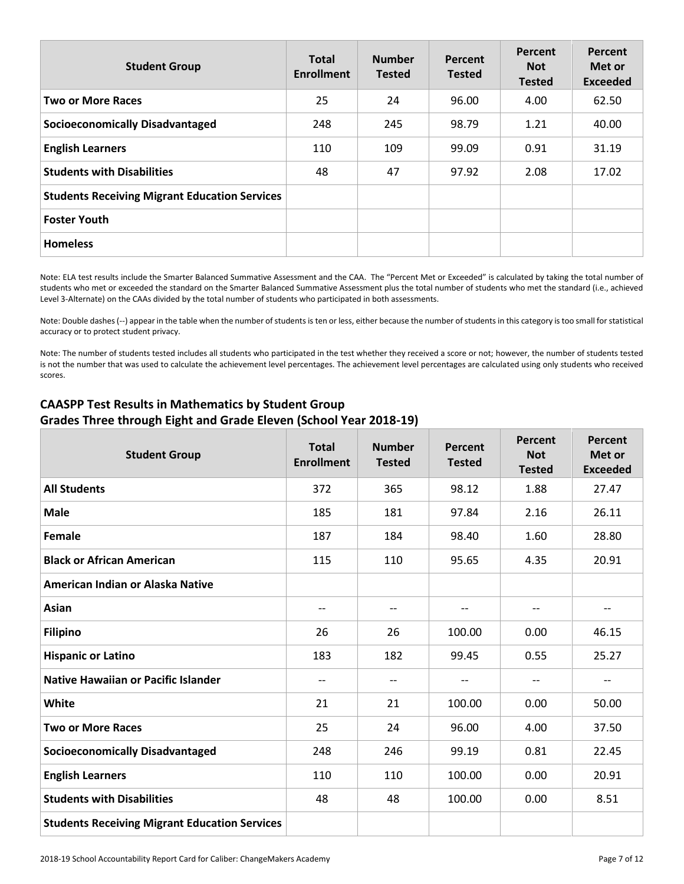| <b>Student Group</b>                                 | <b>Total</b><br><b>Enrollment</b> | <b>Number</b><br><b>Tested</b> | Percent<br><b>Tested</b> | Percent<br><b>Not</b><br><b>Tested</b> | Percent<br>Met or<br><b>Exceeded</b> |
|------------------------------------------------------|-----------------------------------|--------------------------------|--------------------------|----------------------------------------|--------------------------------------|
| <b>Two or More Races</b>                             | 25                                | 24                             | 96.00                    | 4.00                                   | 62.50                                |
| <b>Socioeconomically Disadvantaged</b>               | 248                               | 245                            | 98.79                    | 1.21                                   | 40.00                                |
| <b>English Learners</b>                              | 110                               | 109                            | 99.09                    | 0.91                                   | 31.19                                |
| <b>Students with Disabilities</b>                    | 48                                | 47                             | 97.92                    | 2.08                                   | 17.02                                |
| <b>Students Receiving Migrant Education Services</b> |                                   |                                |                          |                                        |                                      |
| <b>Foster Youth</b>                                  |                                   |                                |                          |                                        |                                      |
| <b>Homeless</b>                                      |                                   |                                |                          |                                        |                                      |

Note: ELA test results include the Smarter Balanced Summative Assessment and the CAA. The "Percent Met or Exceeded" is calculated by taking the total number of students who met or exceeded the standard on the Smarter Balanced Summative Assessment plus the total number of students who met the standard (i.e., achieved Level 3-Alternate) on the CAAs divided by the total number of students who participated in both assessments.

Note: Double dashes (--) appear in the table when the number of students is ten or less, either because the number of students in this category is too small for statistical accuracy or to protect student privacy.

Note: The number of students tested includes all students who participated in the test whether they received a score or not; however, the number of students tested is not the number that was used to calculate the achievement level percentages. The achievement level percentages are calculated using only students who received scores.

| <b>Student Group</b>                                 | <b>Total</b><br><b>Enrollment</b> | <b>Number</b><br><b>Tested</b> | Percent<br><b>Tested</b> | Percent<br><b>Not</b><br><b>Tested</b> | <b>Percent</b><br>Met or<br><b>Exceeded</b> |
|------------------------------------------------------|-----------------------------------|--------------------------------|--------------------------|----------------------------------------|---------------------------------------------|
| <b>All Students</b>                                  | 372                               | 365                            | 98.12                    | 1.88                                   | 27.47                                       |
| <b>Male</b>                                          | 185                               | 181                            | 97.84                    | 2.16                                   | 26.11                                       |
| Female                                               | 187                               | 184                            | 98.40                    | 1.60                                   | 28.80                                       |
| <b>Black or African American</b>                     | 115                               | 110                            | 95.65                    | 4.35                                   | 20.91                                       |
| American Indian or Alaska Native                     |                                   |                                |                          |                                        |                                             |
| Asian                                                | $\qquad \qquad -$                 | $\overline{\phantom{a}}$       | $\overline{\phantom{m}}$ | $- -$                                  | $\overline{\phantom{a}}$                    |
| <b>Filipino</b>                                      | 26                                | 26                             | 100.00                   | 0.00                                   | 46.15                                       |
| <b>Hispanic or Latino</b>                            | 183                               | 182                            | 99.45                    | 0.55                                   | 25.27                                       |
| Native Hawaiian or Pacific Islander                  | --                                | $- -$                          | $\qquad \qquad -$        | $-$                                    | $-$                                         |
| White                                                | 21                                | 21                             | 100.00                   | 0.00                                   | 50.00                                       |
| <b>Two or More Races</b>                             | 25                                | 24                             | 96.00                    | 4.00                                   | 37.50                                       |
| <b>Socioeconomically Disadvantaged</b>               | 248                               | 246                            | 99.19                    | 0.81                                   | 22.45                                       |
| <b>English Learners</b>                              | 110                               | 110                            | 100.00                   | 0.00                                   | 20.91                                       |
| <b>Students with Disabilities</b>                    | 48                                | 48                             | 100.00                   | 0.00                                   | 8.51                                        |
| <b>Students Receiving Migrant Education Services</b> |                                   |                                |                          |                                        |                                             |

### **CAASPP Test Results in Mathematics by Student Group Grades Three through Eight and Grade Eleven (School Year 2018-19)**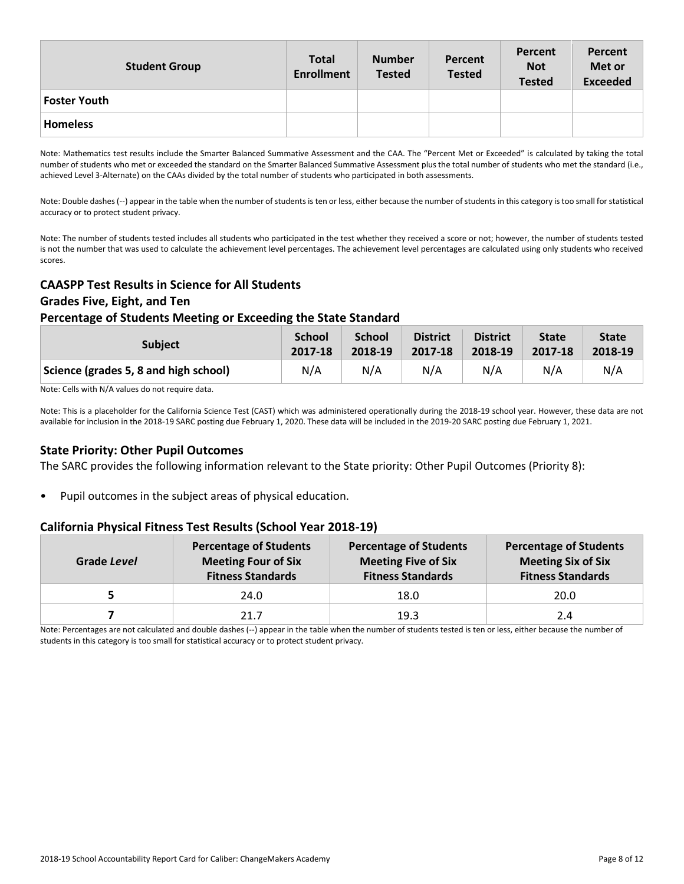| <b>Student Group</b> | <b>Total</b><br><b>Enrollment</b> | <b>Number</b><br><b>Tested</b> | Percent<br><b>Tested</b> | Percent<br><b>Not</b><br><b>Tested</b> | Percent<br>Met or<br><b>Exceeded</b> |
|----------------------|-----------------------------------|--------------------------------|--------------------------|----------------------------------------|--------------------------------------|
| <b>Foster Youth</b>  |                                   |                                |                          |                                        |                                      |
| <b>Homeless</b>      |                                   |                                |                          |                                        |                                      |

Note: Mathematics test results include the Smarter Balanced Summative Assessment and the CAA. The "Percent Met or Exceeded" is calculated by taking the total number of students who met or exceeded the standard on the Smarter Balanced Summative Assessment plus the total number of students who met the standard (i.e., achieved Level 3-Alternate) on the CAAs divided by the total number of students who participated in both assessments.

Note: Double dashes (--) appear in the table when the number of students is ten or less, either because the number of students in this category is too small for statistical accuracy or to protect student privacy.

Note: The number of students tested includes all students who participated in the test whether they received a score or not; however, the number of students tested is not the number that was used to calculate the achievement level percentages. The achievement level percentages are calculated using only students who received scores.

### **CAASPP Test Results in Science for All Students**

#### **Grades Five, Eight, and Ten**

#### **Percentage of Students Meeting or Exceeding the State Standard**

| <b>Subject</b>                        | <b>School</b> | <b>School</b> | <b>District</b> | <b>District</b> | <b>State</b> | <b>State</b> |
|---------------------------------------|---------------|---------------|-----------------|-----------------|--------------|--------------|
|                                       | 2017-18       | 2018-19       | 2017-18         | 2018-19         | 2017-18      | 2018-19      |
| Science (grades 5, 8 and high school) | N/A           | N/A           | N/A             | N/A             | N/A          | N/A          |

Note: Cells with N/A values do not require data.

Note: This is a placeholder for the California Science Test (CAST) which was administered operationally during the 2018-19 school year. However, these data are not available for inclusion in the 2018-19 SARC posting due February 1, 2020. These data will be included in the 2019-20 SARC posting due February 1, 2021.

#### **State Priority: Other Pupil Outcomes**

The SARC provides the following information relevant to the State priority: Other Pupil Outcomes (Priority 8):

• Pupil outcomes in the subject areas of physical education.

#### **California Physical Fitness Test Results (School Year 2018-19)**

| Grade Level | <b>Percentage of Students</b><br><b>Meeting Four of Six</b><br><b>Fitness Standards</b> |      | <b>Percentage of Students</b><br><b>Meeting Six of Six</b><br><b>Fitness Standards</b> |  |  |
|-------------|-----------------------------------------------------------------------------------------|------|----------------------------------------------------------------------------------------|--|--|
|             | 24.0                                                                                    | 18.0 | 20.0                                                                                   |  |  |
|             | 21.7                                                                                    | 19.3 | 2.4                                                                                    |  |  |

Note: Percentages are not calculated and double dashes (--) appear in the table when the number of students tested is ten or less, either because the number of students in this category is too small for statistical accuracy or to protect student privacy.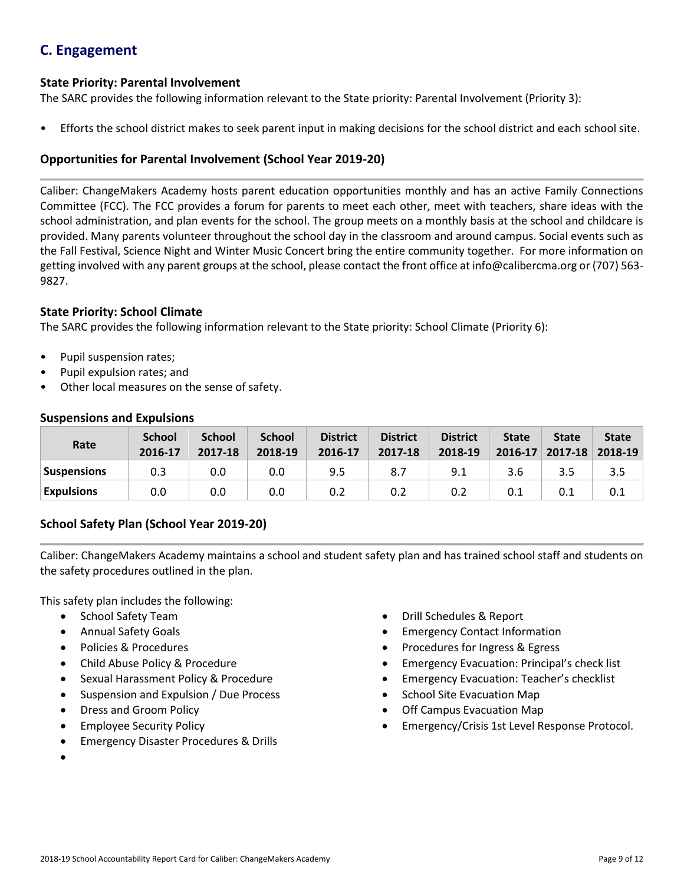# **C. Engagement**

### **State Priority: Parental Involvement**

The SARC provides the following information relevant to the State priority: Parental Involvement (Priority 3):

• Efforts the school district makes to seek parent input in making decisions for the school district and each school site.

### **Opportunities for Parental Involvement (School Year 2019-20)**

Caliber: ChangeMakers Academy hosts parent education opportunities monthly and has an active Family Connections Committee (FCC). The FCC provides a forum for parents to meet each other, meet with teachers, share ideas with the school administration, and plan events for the school. The group meets on a monthly basis at the school and childcare is provided. Many parents volunteer throughout the school day in the classroom and around campus. Social events such as the Fall Festival, Science Night and Winter Music Concert bring the entire community together. For more information on getting involved with any parent groups at the school, please contact the front office at info@calibercma.org or (707) 563- 9827.

### **State Priority: School Climate**

The SARC provides the following information relevant to the State priority: School Climate (Priority 6):

- Pupil suspension rates;
- Pupil expulsion rates; and
- Other local measures on the sense of safety.

| Rate               | <b>School</b><br>2016-17 | <b>School</b><br>2017-18 | <b>School</b><br>2018-19 | <b>District</b><br>2016-17 | <b>District</b><br>2017-18 | <b>District</b><br>2018-19 | <b>State</b><br>$2016 - 17$ | <b>State</b><br>$2017 - 18$ | <b>State</b><br>2018-19 |
|--------------------|--------------------------|--------------------------|--------------------------|----------------------------|----------------------------|----------------------------|-----------------------------|-----------------------------|-------------------------|
| <b>Suspensions</b> | 0.3                      | 0.0                      | 0.0                      | 9.5                        |                            | 9.1                        | 3.6                         | 3.5                         | 3.5                     |
| <b>Expulsions</b>  | 0.0                      | 0.0                      | 0.0                      | 0.2                        |                            | 0.2                        |                             |                             |                         |

#### **Suspensions and Expulsions**

### **School Safety Plan (School Year 2019-20)**

Caliber: ChangeMakers Academy maintains a school and student safety plan and has trained school staff and students on the safety procedures outlined in the plan.

This safety plan includes the following:

- School Safety Team
- Annual Safety Goals
- Policies & Procedures
- Child Abuse Policy & Procedure
- Sexual Harassment Policy & Procedure
- Suspension and Expulsion / Due Process
- Dress and Groom Policy
- Employee Security Policy
- Emergency Disaster Procedures & Drills
- •
- Drill Schedules & Report
- Emergency Contact Information
- Procedures for Ingress & Egress
- Emergency Evacuation: Principal's check list
- Emergency Evacuation: Teacher's checklist
- School Site Evacuation Map
- Off Campus Evacuation Map
- Emergency/Crisis 1st Level Response Protocol.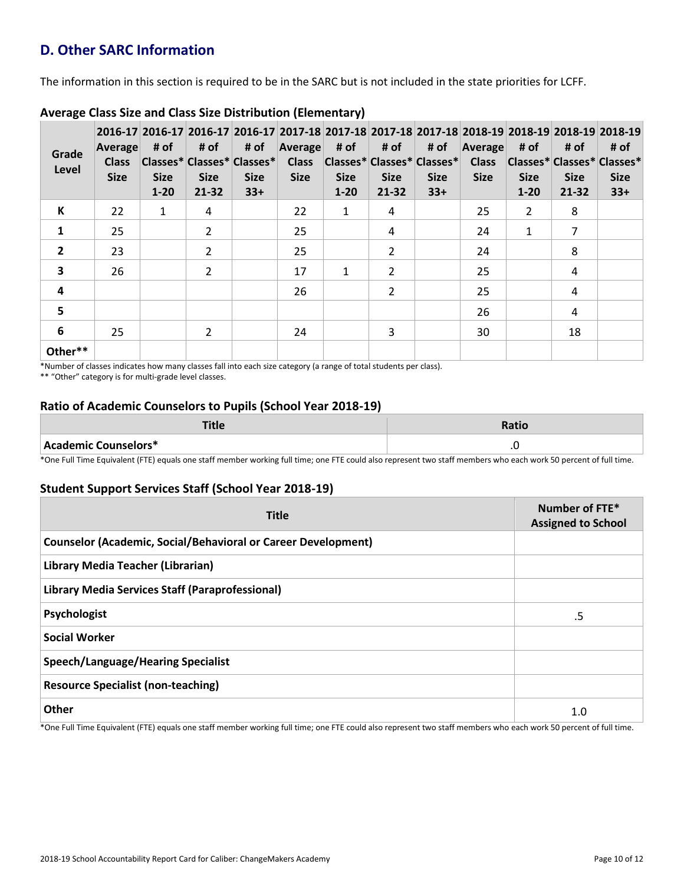# **D. Other SARC Information**

The information in this section is required to be in the SARC but is not included in the state priorities for LCFF.

| Grade<br>Level          | Average<br><b>Class</b><br><b>Size</b> | # of<br><b>Size</b><br>$1 - 20$ | # of<br><b>Size</b><br>21-32 | # of<br>Classes* Classes* Classes*<br><b>Size</b><br>$33+$ | Average<br><b>Class</b><br><b>Size</b> | # of<br><b>Size</b><br>$1 - 20$ | # of<br> Classes* Classes* Classes* <br><b>Size</b><br>21-32 | # of<br><b>Size</b><br>$33+$ | <b>Average</b><br><b>Class</b><br><b>Size</b> | # of<br> Classes* Classes* Classes*<br><b>Size</b><br>$1 - 20$ | # of<br><b>Size</b><br>21-32 | 2016-17 2016-17 2016-17 2016-17 2017-18 2017-18 2017-18 2017-18 2017-18 2018-19 2018-19 2018-19 2018-19<br># of<br><b>Size</b><br>$33+$ |
|-------------------------|----------------------------------------|---------------------------------|------------------------------|------------------------------------------------------------|----------------------------------------|---------------------------------|--------------------------------------------------------------|------------------------------|-----------------------------------------------|----------------------------------------------------------------|------------------------------|-----------------------------------------------------------------------------------------------------------------------------------------|
| К                       | 22                                     | 1                               | 4                            |                                                            | 22                                     | $\mathbf{1}$                    | 4                                                            |                              | 25                                            | $\overline{2}$                                                 | 8                            |                                                                                                                                         |
| $\mathbf{1}$            | 25                                     |                                 | 2                            |                                                            | 25                                     |                                 | 4                                                            |                              | 24                                            | $\mathbf{1}$                                                   | 7                            |                                                                                                                                         |
| $\overline{2}$          | 23                                     |                                 | $\overline{2}$               |                                                            | 25                                     |                                 | $\overline{2}$                                               |                              | 24                                            |                                                                | 8                            |                                                                                                                                         |
| $\overline{\mathbf{3}}$ | 26                                     |                                 | $\overline{2}$               |                                                            | 17                                     | 1                               | 2                                                            |                              | 25                                            |                                                                | 4                            |                                                                                                                                         |
| 4                       |                                        |                                 |                              |                                                            | 26                                     |                                 | $\mathfrak{p}$                                               |                              | 25                                            |                                                                | 4                            |                                                                                                                                         |
| 5                       |                                        |                                 |                              |                                                            |                                        |                                 |                                                              |                              | 26                                            |                                                                | 4                            |                                                                                                                                         |
| 6                       | 25                                     |                                 | $\overline{2}$               |                                                            | 24                                     |                                 | 3                                                            |                              | 30                                            |                                                                | 18                           |                                                                                                                                         |
| Other**                 |                                        |                                 |                              |                                                            |                                        |                                 |                                                              |                              |                                               |                                                                |                              |                                                                                                                                         |

### **Average Class Size and Class Size Distribution (Elementary)**

\*Number of classes indicates how many classes fall into each size category (a range of total students per class).

\*\* "Other" category is for multi-grade level classes.

### **Ratio of Academic Counselors to Pupils (School Year 2018-19)**

| - 7<br>TUC           | <b>Ratio</b> |
|----------------------|--------------|
| Academic Counselors* | $\cdot$ .    |

\*One Full Time Equivalent (FTE) equals one staff member working full time; one FTE could also represent two staff members who each work 50 percent of full time.

### **Student Support Services Staff (School Year 2018-19)**

| <b>Title</b>                                                         | Number of FTE*<br><b>Assigned to School</b> |
|----------------------------------------------------------------------|---------------------------------------------|
| <b>Counselor (Academic, Social/Behavioral or Career Development)</b> |                                             |
| Library Media Teacher (Librarian)                                    |                                             |
| Library Media Services Staff (Paraprofessional)                      |                                             |
| Psychologist                                                         | .5                                          |
| <b>Social Worker</b>                                                 |                                             |
| <b>Speech/Language/Hearing Specialist</b>                            |                                             |
| <b>Resource Specialist (non-teaching)</b>                            |                                             |
| Other                                                                | 1.0                                         |

\*One Full Time Equivalent (FTE) equals one staff member working full time; one FTE could also represent two staff members who each work 50 percent of full time.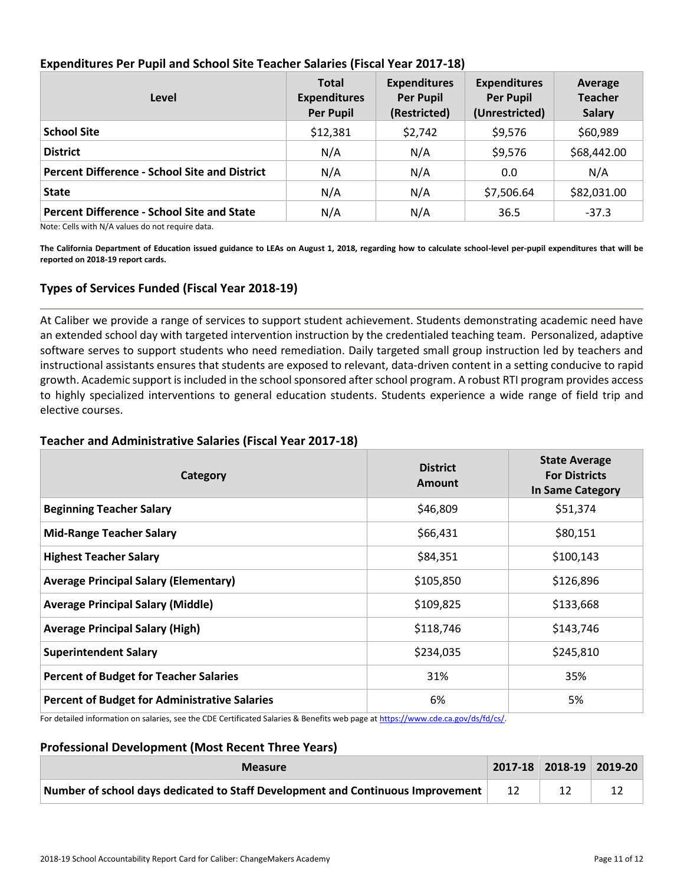| Level                                                                                                                                                                                                                                                                                 | <b>Total</b><br><b>Expenditures</b><br><b>Per Pupil</b> | <b>Expenditures</b><br><b>Per Pupil</b><br>(Restricted) | <b>Expenditures</b><br><b>Per Pupil</b><br>(Unrestricted) | Average<br><b>Teacher</b><br><b>Salary</b> |
|---------------------------------------------------------------------------------------------------------------------------------------------------------------------------------------------------------------------------------------------------------------------------------------|---------------------------------------------------------|---------------------------------------------------------|-----------------------------------------------------------|--------------------------------------------|
| <b>School Site</b>                                                                                                                                                                                                                                                                    | \$12,381                                                | \$2,742                                                 | \$9,576                                                   | \$60,989                                   |
| <b>District</b>                                                                                                                                                                                                                                                                       | N/A                                                     | N/A                                                     | \$9,576                                                   | \$68,442.00                                |
| <b>Percent Difference - School Site and District</b>                                                                                                                                                                                                                                  | N/A                                                     | N/A                                                     | 0.0                                                       | N/A                                        |
| <b>State</b>                                                                                                                                                                                                                                                                          | N/A                                                     | N/A                                                     | \$7,506.64                                                | \$82,031.00                                |
| <b>Percent Difference - School Site and State</b><br>$\mathbf{a}$ , and the set of the set of the set of the set of the set of the set of the set of the set of the set of the set of the set of the set of the set of the set of the set of the set of the set of the set of the set | N/A                                                     | N/A                                                     | 36.5                                                      | $-37.3$                                    |

### **Expenditures Per Pupil and School Site Teacher Salaries (Fiscal Year 2017-18)**

Note: Cells with N/A values do not require data.

**The California Department of Education issued guidance to LEAs on August 1, 2018, regarding how to calculate school-level per-pupil expenditures that will be reported on 2018-19 report cards.**

### **Types of Services Funded (Fiscal Year 2018-19)**

At Caliber we provide a range of services to support student achievement. Students demonstrating academic need have an extended school day with targeted intervention instruction by the credentialed teaching team. Personalized, adaptive software serves to support students who need remediation. Daily targeted small group instruction led by teachers and instructional assistants ensures that students are exposed to relevant, data-driven content in a setting conducive to rapid growth. Academic support is included in the school sponsored after school program. A robust RTI program provides access to highly specialized interventions to general education students. Students experience a wide range of field trip and elective courses.

#### **Teacher and Administrative Salaries (Fiscal Year 2017-18)**

| Category                                             | <b>District</b><br><b>Amount</b>                                | <b>State Average</b><br><b>For Districts</b><br>In Same Category |
|------------------------------------------------------|-----------------------------------------------------------------|------------------------------------------------------------------|
| <b>Beginning Teacher Salary</b>                      | \$46,809                                                        | \$51,374                                                         |
| <b>Mid-Range Teacher Salary</b>                      | \$66,431                                                        | \$80,151                                                         |
| <b>Highest Teacher Salary</b>                        | \$84,351                                                        | \$100,143                                                        |
| <b>Average Principal Salary (Elementary)</b>         | \$105,850                                                       | \$126,896                                                        |
| <b>Average Principal Salary (Middle)</b>             | \$109,825                                                       | \$133,668                                                        |
| <b>Average Principal Salary (High)</b>               | \$118,746                                                       | \$143,746                                                        |
| <b>Superintendent Salary</b>                         | \$234,035                                                       | \$245,810                                                        |
| <b>Percent of Budget for Teacher Salaries</b>        | 31%                                                             | 35%                                                              |
| <b>Percent of Budget for Administrative Salaries</b> | 6%<br>$\mathbf{r}$ , $\mathbf{r}$ , $\mathbf{r}$ , $\mathbf{r}$ | 5%                                                               |

For detailed information on salaries, see the CDE Certificated Salaries & Benefits web page at https://www.cde.ca.gov/ds/fd/cs/.

#### **Professional Development (Most Recent Three Years)**

| <b>Measure</b>                                                                  |    | $ 2017-18 2018-19 2019-20 $ |
|---------------------------------------------------------------------------------|----|-----------------------------|
| Number of school days dedicated to Staff Development and Continuous Improvement | 12 |                             |